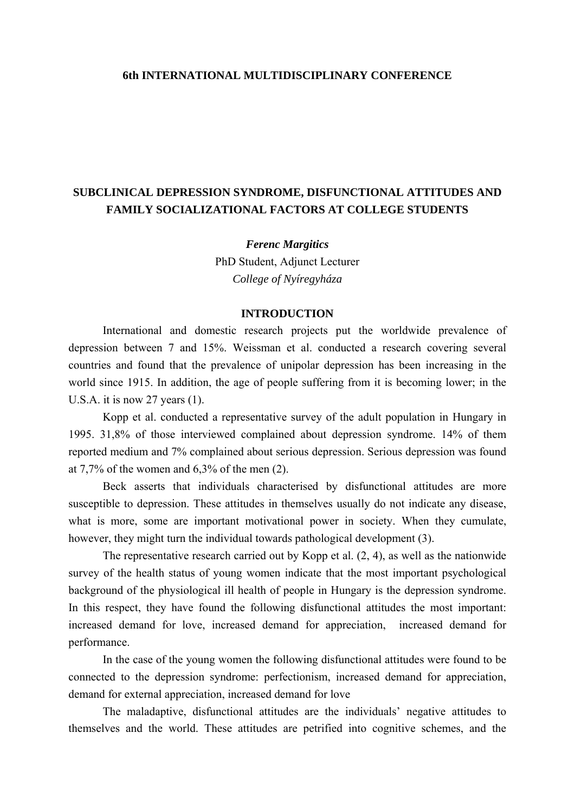## **6th INTERNATIONAL MULTIDISCIPLINARY CONFERENCE**

# **SUBCLINICAL DEPRESSION SYNDROME, DISFUNCTIONAL ATTITUDES AND FAMILY SOCIALIZATIONAL FACTORS AT COLLEGE STUDENTS**

#### *Ferenc Margitics*

PhD Student, Adjunct Lecturer *College of Nyíregyháza* 

### **INTRODUCTION**

International and domestic research projects put the worldwide prevalence of depression between 7 and 15%. Weissman et al. conducted a research covering several countries and found that the prevalence of unipolar depression has been increasing in the world since 1915. In addition, the age of people suffering from it is becoming lower; in the U.S.A. it is now 27 years (1).

Kopp et al. conducted a representative survey of the adult population in Hungary in 1995. 31,8% of those interviewed complained about depression syndrome. 14% of them reported medium and 7% complained about serious depression. Serious depression was found at 7,7% of the women and 6,3% of the men (2).

Beck asserts that individuals characterised by disfunctional attitudes are more susceptible to depression. These attitudes in themselves usually do not indicate any disease, what is more, some are important motivational power in society. When they cumulate, however, they might turn the individual towards pathological development (3).

The representative research carried out by Kopp et al. (2, 4), as well as the nationwide survey of the health status of young women indicate that the most important psychological background of the physiological ill health of people in Hungary is the depression syndrome. In this respect, they have found the following disfunctional attitudes the most important: increased demand for love, increased demand for appreciation, increased demand for performance.

In the case of the young women the following disfunctional attitudes were found to be connected to the depression syndrome: perfectionism, increased demand for appreciation, demand for external appreciation, increased demand for love

The maladaptive, disfunctional attitudes are the individuals' negative attitudes to themselves and the world. These attitudes are petrified into cognitive schemes, and the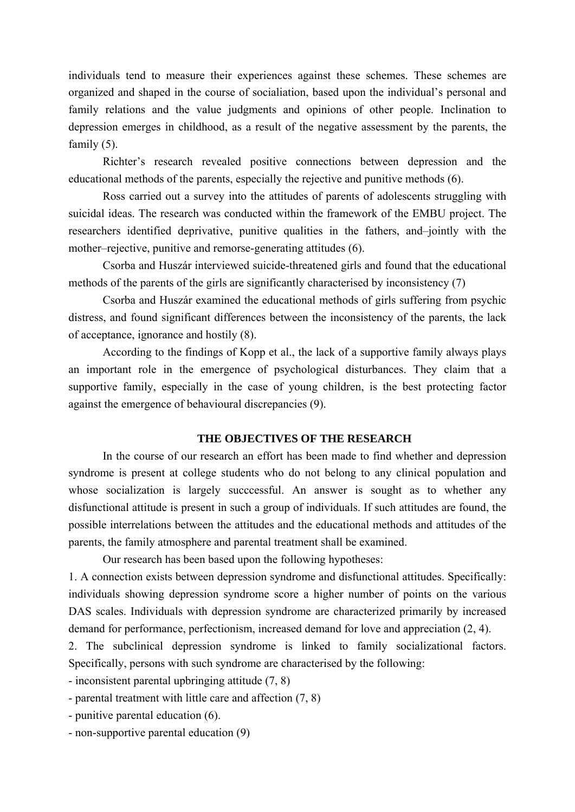individuals tend to measure their experiences against these schemes. These schemes are organized and shaped in the course of socialiation, based upon the individual's personal and family relations and the value judgments and opinions of other people. Inclination to depression emerges in childhood, as a result of the negative assessment by the parents, the family  $(5)$ .

Richter's research revealed positive connections between depression and the educational methods of the parents, especially the rejective and punitive methods (6).

Ross carried out a survey into the attitudes of parents of adolescents struggling with suicidal ideas. The research was conducted within the framework of the EMBU project. The researchers identified deprivative, punitive qualities in the fathers, and–jointly with the mother–rejective, punitive and remorse-generating attitudes (6).

Csorba and Huszár interviewed suicide-threatened girls and found that the educational methods of the parents of the girls are significantly characterised by inconsistency (7)

Csorba and Huszár examined the educational methods of girls suffering from psychic distress, and found significant differences between the inconsistency of the parents, the lack of acceptance, ignorance and hostily (8).

According to the findings of Kopp et al., the lack of a supportive family always plays an important role in the emergence of psychological disturbances. They claim that a supportive family, especially in the case of young children, is the best protecting factor against the emergence of behavioural discrepancies (9).

## **THE OBJECTIVES OF THE RESEARCH**

In the course of our research an effort has been made to find whether and depression syndrome is present at college students who do not belong to any clinical population and whose socialization is largely successful. An answer is sought as to whether any disfunctional attitude is present in such a group of individuals. If such attitudes are found, the possible interrelations between the attitudes and the educational methods and attitudes of the parents, the family atmosphere and parental treatment shall be examined.

Our research has been based upon the following hypotheses:

1. A connection exists between depression syndrome and disfunctional attitudes. Specifically: individuals showing depression syndrome score a higher number of points on the various DAS scales. Individuals with depression syndrome are characterized primarily by increased demand for performance, perfectionism, increased demand for love and appreciation (2, 4).

2. The subclinical depression syndrome is linked to family socializational factors. Specifically, persons with such syndrome are characterised by the following:

- inconsistent parental upbringing attitude (7, 8)

- parental treatment with little care and affection (7, 8)
- punitive parental education (6).
- non-supportive parental education (9)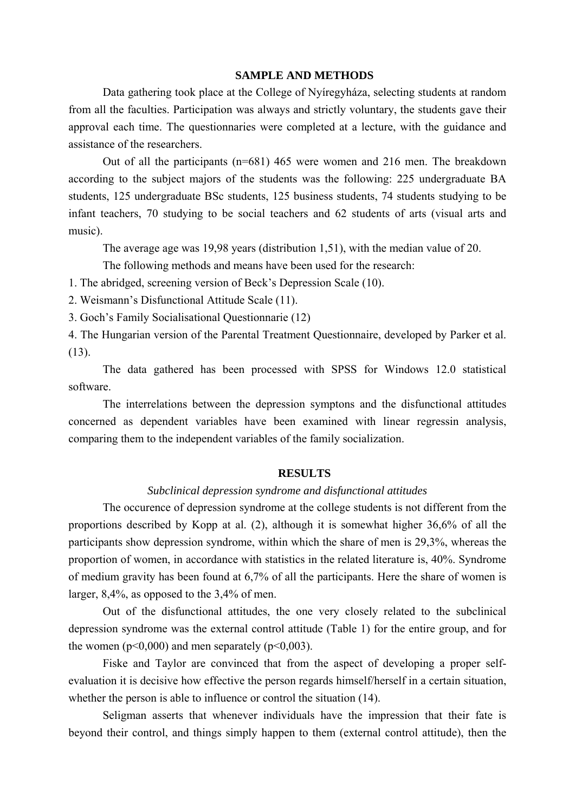#### **SAMPLE AND METHODS**

Data gathering took place at the College of Nyíregyháza, selecting students at random from all the faculties. Participation was always and strictly voluntary, the students gave their approval each time. The questionnaries were completed at a lecture, with the guidance and assistance of the researchers.

Out of all the participants (n=681) 465 were women and 216 men. The breakdown according to the subject majors of the students was the following: 225 undergraduate BA students, 125 undergraduate BSc students, 125 business students, 74 students studying to be infant teachers, 70 studying to be social teachers and 62 students of arts (visual arts and music).

The average age was 19,98 years (distribution 1,51), with the median value of 20.

The following methods and means have been used for the research:

1. The abridged, screening version of Beck's Depression Scale (10).

2. Weismann's Disfunctional Attitude Scale (11).

3. Goch's Family Socialisational Questionnarie (12)

4. The Hungarian version of the Parental Treatment Questionnaire, developed by Parker et al.  $(13)$ .

The data gathered has been processed with SPSS for Windows 12.0 statistical software.

The interrelations between the depression symptons and the disfunctional attitudes concerned as dependent variables have been examined with linear regressin analysis, comparing them to the independent variables of the family socialization.

## **RESULTS**

## *Subclinical depression syndrome and disfunctional attitudes*

The occurence of depression syndrome at the college students is not different from the proportions described by Kopp at al. (2), although it is somewhat higher 36,6% of all the participants show depression syndrome, within which the share of men is 29,3%, whereas the proportion of women, in accordance with statistics in the related literature is, 40%. Syndrome of medium gravity has been found at 6,7% of all the participants. Here the share of women is larger, 8,4%, as opposed to the 3,4% of men.

Out of the disfunctional attitudes, the one very closely related to the subclinical depression syndrome was the external control attitude (Table 1) for the entire group, and for the women ( $p<0,000$ ) and men separately ( $p<0,003$ ).

Fiske and Taylor are convinced that from the aspect of developing a proper selfevaluation it is decisive how effective the person regards himself/herself in a certain situation, whether the person is able to influence or control the situation (14).

Seligman asserts that whenever individuals have the impression that their fate is beyond their control, and things simply happen to them (external control attitude), then the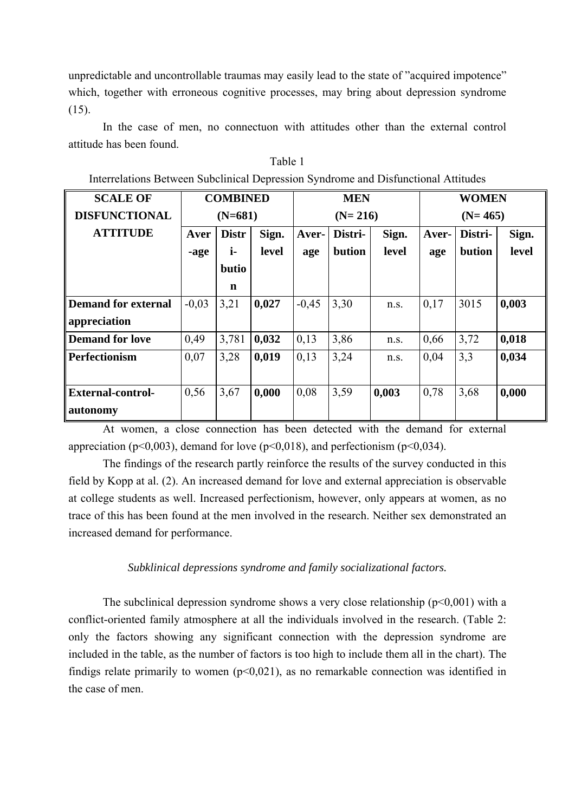unpredictable and uncontrollable traumas may easily lead to the state of "acquired impotence" which, together with erroneous cognitive processes, may bring about depression syndrome (15).

In the case of men, no connectuon with attitudes other than the external control attitude has been found.

| <u>HIWITUMIOID DUWUUI DUOUHIIUM DUPLOBIOIT DYHUTOIN MIN DIBIMIUIDIMI TUURUUD</u> |           |                 |       |           |            |       |           |              |       |  |
|----------------------------------------------------------------------------------|-----------|-----------------|-------|-----------|------------|-------|-----------|--------------|-------|--|
| <b>SCALE OF</b>                                                                  |           | <b>COMBINED</b> |       |           | <b>MEN</b> |       |           | <b>WOMEN</b> |       |  |
| <b>DISFUNCTIONAL</b>                                                             | $(N=681)$ |                 |       | $(N=216)$ |            |       | $(N=465)$ |              |       |  |
| <b>ATTITUDE</b>                                                                  | Aver      | <b>Distr</b>    | Sign. | Aver-     | Distri-    | Sign. | Aver-     | Distri-      | Sign. |  |
|                                                                                  | -age      | i-              | level | age       | bution     | level | age       | bution       | level |  |
|                                                                                  |           | butio           |       |           |            |       |           |              |       |  |
|                                                                                  |           | n               |       |           |            |       |           |              |       |  |
| <b>Demand for external</b>                                                       | $-0.03$   | 3,21            | 0,027 | $-0,45$   | 3,30       | n.s.  | 0,17      | 3015         | 0,003 |  |
| appreciation                                                                     |           |                 |       |           |            |       |           |              |       |  |
| <b>Demand for love</b>                                                           | 0,49      | 3,781           | 0,032 | 0,13      | 3,86       | n.s.  | 0,66      | 3,72         | 0,018 |  |
| Perfectionism                                                                    | 0,07      | 3,28            | 0,019 | 0,13      | 3,24       | n.s.  | 0,04      | 3,3          | 0,034 |  |
|                                                                                  |           |                 |       |           |            |       |           |              |       |  |
| <b>External-control-</b>                                                         | 0,56      | 3,67            | 0,000 | 0,08      | 3,59       | 0,003 | 0,78      | 3,68         | 0,000 |  |
| autonomy                                                                         |           |                 |       |           |            |       |           |              |       |  |

Table 1 Interrelations Between Subclinical Depression Syndrome and Disfunctional Attitudes

At women, a close connection has been detected with the demand for external appreciation ( $p<0,003$ ), demand for love ( $p<0,018$ ), and perfectionism ( $p<0,034$ ).

The findings of the research partly reinforce the results of the survey conducted in this field by Kopp at al. (2). An increased demand for love and external appreciation is observable at college students as well. Increased perfectionism, however, only appears at women, as no trace of this has been found at the men involved in the research. Neither sex demonstrated an increased demand for performance.

## *Subklinical depressions syndrome and family socializational factors.*

The subclinical depression syndrome shows a very close relationship  $(p<0,001)$  with a conflict-oriented family atmosphere at all the individuals involved in the research. (Table 2: only the factors showing any significant connection with the depression syndrome are included in the table, as the number of factors is too high to include them all in the chart). The findigs relate primarily to women  $(p<0,021)$ , as no remarkable connection was identified in the case of men.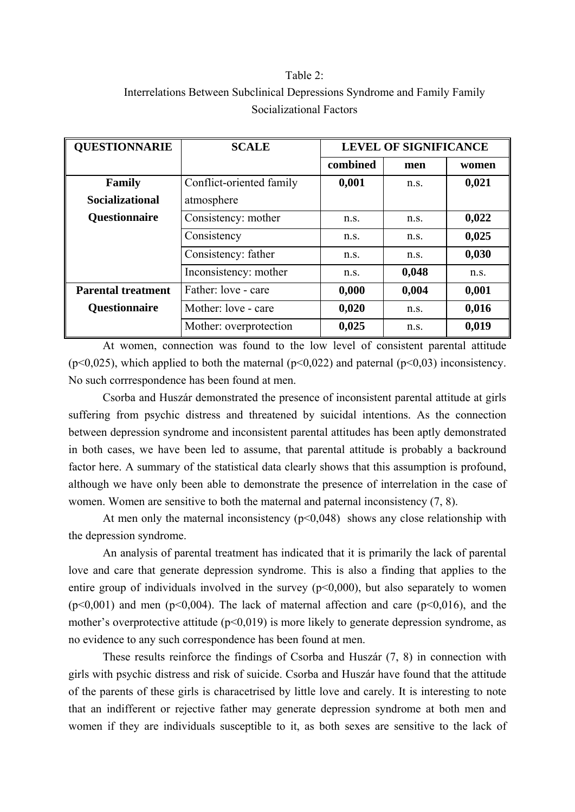# Table 2: Interrelations Between Subclinical Depressions Syndrome and Family Family Socializational Factors

| <b>QUESTIONNARIE</b>      | <b>SCALE</b>             | <b>LEVEL OF SIGNIFICANCE</b> |       |       |  |  |
|---------------------------|--------------------------|------------------------------|-------|-------|--|--|
|                           |                          | combined                     | men   | women |  |  |
| <b>Family</b>             | Conflict-oriented family | 0,001                        | n.S.  | 0,021 |  |  |
| <b>Socializational</b>    | atmosphere               |                              |       |       |  |  |
| <b>Questionnaire</b>      | Consistency: mother      | n.S.                         | n.S.  | 0,022 |  |  |
|                           | Consistency              | n.S.                         | n.S.  | 0,025 |  |  |
|                           | Consistency: father      | n.S.                         | n.S.  | 0,030 |  |  |
|                           | Inconsistency: mother    | n.S.                         | 0,048 | n.S.  |  |  |
| <b>Parental treatment</b> | Father: love - care      | 0,000                        | 0,004 | 0,001 |  |  |
| <b>Questionnaire</b>      | Mother: love - care      | 0,020                        | n.S.  | 0,016 |  |  |
|                           | Mother: overprotection   | 0,025                        | n.S.  | 0,019 |  |  |

At women, connection was found to the low level of consistent parental attitude ( $p<0,025$ ), which applied to both the maternal ( $p<0,022$ ) and paternal ( $p<0,03$ ) inconsistency. No such corrrespondence has been found at men.

Csorba and Huszár demonstrated the presence of inconsistent parental attitude at girls suffering from psychic distress and threatened by suicidal intentions. As the connection between depression syndrome and inconsistent parental attitudes has been aptly demonstrated in both cases, we have been led to assume, that parental attitude is probably a backround factor here. A summary of the statistical data clearly shows that this assumption is profound, although we have only been able to demonstrate the presence of interrelation in the case of women. Women are sensitive to both the maternal and paternal inconsistency (7, 8).

At men only the maternal inconsistency  $(p<0.048)$  shows any close relationship with the depression syndrome.

An analysis of parental treatment has indicated that it is primarily the lack of parental love and care that generate depression syndrome. This is also a finding that applies to the entire group of individuals involved in the survey  $(p<0,000)$ , but also separately to women  $(p<0,001)$  and men  $(p<0,004)$ . The lack of maternal affection and care  $(p<0,016)$ , and the mother's overprotective attitude  $(p<0,019)$  is more likely to generate depression syndrome, as no evidence to any such correspondence has been found at men.

These results reinforce the findings of Csorba and Huszár (7, 8) in connection with girls with psychic distress and risk of suicide. Csorba and Huszár have found that the attitude of the parents of these girls is characetrised by little love and carely. It is interesting to note that an indifferent or rejective father may generate depression syndrome at both men and women if they are individuals susceptible to it, as both sexes are sensitive to the lack of